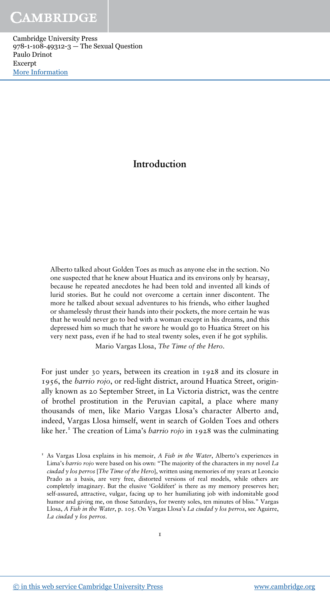# **Introduction**

Alberto talked about Golden Toes as much as anyone else in the section. No one suspected that he knew about Huatica and its environs only by hearsay, because he repeated anecdotes he had been told and invented all kinds of lurid stories. But he could not overcome a certain inner discontent. The more he talked about sexual adventures to his friends, who either laughed or shamelessly thrust their hands into their pockets, the more certain he was that he would never go to bed with a woman except in his dreams, and this depressed him so much that he swore he would go to Huatica Street on his very next pass, even if he had to steal twenty soles, even if he got syphilis. Mario Vargas Llosa, *The Time of the Hero*.

For just under 30 years, between its creation in 1928 and its closure in 1956, the *barrio rojo*, or red-light district, around Huatica Street, originally known as 20 September Street, in La Victoria district, was the centre of brothel prostitution in the Peruvian capital, a place where many thousands of men, like Mario Vargas Llosa's character Alberto and, indeed, Vargas Llosa himself, went in search of Golden Toes and others like her.<sup>1</sup> The creation of Lima's *barrio rojo* in 1928 was the culminating

<sup>1</sup> As Vargas Llosa explains in his memoir, *A Fish in the Water*, Alberto's experiences in Lima's *barrio rojo* were based on his own: "The majority of the characters in my novel *La ciudad y los perros* [*The Time of the Hero*], written using memories of my years at Leoncio Prado as a basis, are very free, distorted versions of real models, while others are completely imaginary. But the elusive 'Goldifeet' is there as my memory preserves her; self-assured, attractive, vulgar, facing up to her humiliating job with indomitable good humor and giving me, on those Saturdays, for twenty soles, ten minutes of bliss." Vargas Llosa, *A Fish in the Water*, p. 105. On Vargas Llosa's *La ciudad y los perros*, see Aguirre, *La ciudad y los perros*.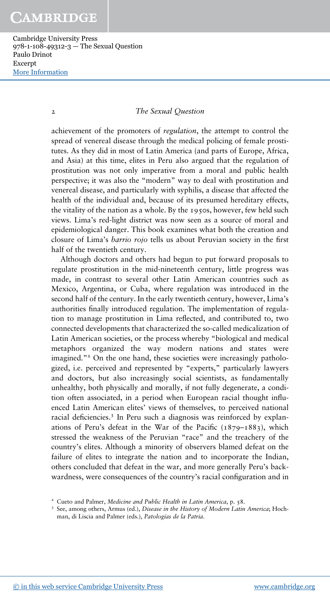#### 2 *The Sexual Question*

achievement of the promoters of *regulation*, the attempt to control the spread of venereal disease through the medical policing of female prostitutes. As they did in most of Latin America (and parts of Europe, Africa, and Asia) at this time, elites in Peru also argued that the regulation of prostitution was not only imperative from a moral and public health perspective; it was also the "modern" way to deal with prostitution and venereal disease, and particularly with syphilis, a disease that affected the health of the individual and, because of its presumed hereditary effects, the vitality of the nation as a whole. By the 1950s, however, few held such views. Lima's red-light district was now seen as a source of moral and epidemiological danger. This book examines what both the creation and closure of Lima's *barrio rojo* tells us about Peruvian society in the first half of the twentieth century.

Although doctors and others had begun to put forward proposals to regulate prostitution in the mid-nineteenth century, little progress was made, in contrast to several other Latin American countries such as Mexico, Argentina, or Cuba, where regulation was introduced in the second half of the century. In the early twentieth century, however, Lima's authorities finally introduced regulation. The implementation of regulation to manage prostitution in Lima reflected, and contributed to, two connected developments that characterized the so-called medicalization of Latin American societies, or the process whereby "biological and medical metaphors organized the way modern nations and states were imagined." <sup>2</sup> On the one hand, these societies were increasingly pathologized, i.e. perceived and represented by "experts," particularly lawyers and doctors, but also increasingly social scientists, as fundamentally unhealthy, both physically and morally, if not fully degenerate, a condition often associated, in a period when European racial thought influenced Latin American elites' views of themselves, to perceived national racial deficiencies.<sup>3</sup> In Peru such a diagnosis was reinforced by explanations of Peru's defeat in the War of the Pacific (1879–1883), which stressed the weakness of the Peruvian "race" and the treachery of the country's elites. Although a minority of observers blamed defeat on the failure of elites to integrate the nation and to incorporate the Indian, others concluded that defeat in the war, and more generally Peru's backwardness, were consequences of the country's racial configuration and in

<sup>2</sup> Cueto and Palmer, *Medicine and Public Health in Latin America*, p. 58.

<sup>3</sup> See, among others, Armus (ed.), *Disease in the History of Modern Latin America*; Hochman, di Liscia and Palmer (eds.), *Patologías de la Patria*.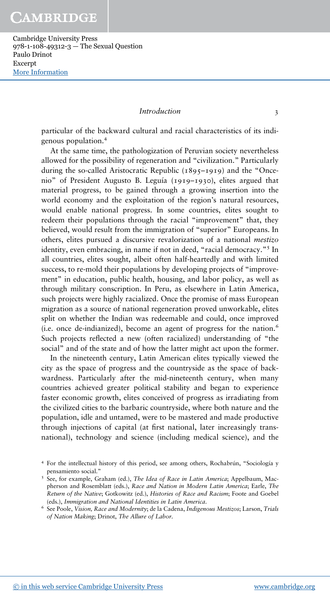# CAMBRIDGE

Cambridge University Press 978-1-108-49312-3 — The Sexual Question Paulo Drinot Excerpt [More Information](www.cambridge.org/9781108493123)

#### *Introduction* 3

particular of the backward cultural and racial characteristics of its indigenous population.<sup>4</sup>

At the same time, the pathologization of Peruvian society nevertheless allowed for the possibility of regeneration and "civilization." Particularly during the so-called Aristocratic Republic (1895–1919) and the "Oncenio" of President Augusto B. Leguía (1919–1930), elites argued that material progress, to be gained through a growing insertion into the world economy and the exploitation of the region's natural resources, would enable national progress. In some countries, elites sought to redeem their populations through the racial "improvement" that, they believed, would result from the immigration of "superior" Europeans. In others, elites pursued a discursive revalorization of a national *mestizo* identity, even embracing, in name if not in deed, "racial democracy."<sup>5</sup> In all countries, elites sought, albeit often half-heartedly and with limited success, to re-mold their populations by developing projects of "improvement" in education, public health, housing, and labor policy, as well as through military conscription. In Peru, as elsewhere in Latin America, such projects were highly racialized. Once the promise of mass European migration as a source of national regeneration proved unworkable, elites split on whether the Indian was redeemable and could, once improved (i.e. once de-indianized), become an agent of progress for the nation.<sup>6</sup> Such projects reflected a new (often racialized) understanding of "the social" and of the state and of how the latter might act upon the former.

In the nineteenth century, Latin American elites typically viewed the city as the space of progress and the countryside as the space of backwardness. Particularly after the mid-nineteenth century, when many countries achieved greater political stability and began to experience faster economic growth, elites conceived of progress as irradiating from the civilized cities to the barbaric countryside, where both nature and the population, idle and untamed, were to be mastered and made productive through injections of capital (at first national, later increasingly transnational), technology and science (including medical science), and the

<sup>4</sup> For the intellectual history of this period, see among others, Rochabrún, "Sociología y pensamiento social."

<sup>5</sup> See, for example, Graham (ed.), *The Idea of Race in Latin America*; Appelbaum, Macpherson and Rosemblatt (eds.), *Race and Nation in Modern Latin America*; Earle, *The Return of the Native*; Gotkowitz (ed.), *Histories of Race and Racism*; Foote and Goebel (eds.), *Immigration and National Identities in Latin America*.

<sup>6</sup> See Poole, *Vision, Race and Modernity*; de la Cadena, *Indigenous Mestizos*; Larson, *Trials of Nation Making*; Drinot, *The Allure of Labor*.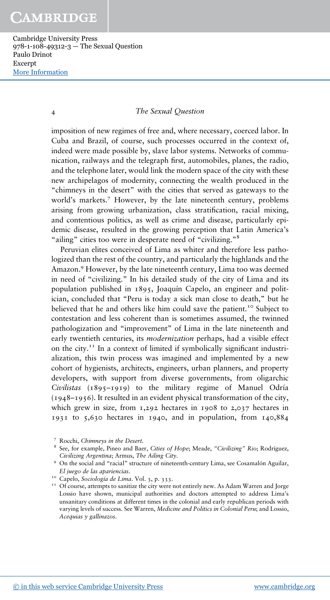#### 4 *The Sexual Question*

imposition of new regimes of free and, where necessary, coerced labor. In Cuba and Brazil, of course, such processes occurred in the context of, indeed were made possible by, slave labor systems. Networks of communication, railways and the telegraph first, automobiles, planes, the radio, and the telephone later, would link the modern space of the city with these new archipelagos of modernity, connecting the wealth produced in the "chimneys in the desert" with the cities that served as gateways to the world's markets.<sup>7</sup> However, by the late nineteenth century, problems arising from growing urbanization, class stratification, racial mixing, and contentious politics, as well as crime and disease, particularly epidemic disease, resulted in the growing perception that Latin America's "ailing" cities too were in desperate need of "civilizing."<sup>8</sup>

Peruvian elites conceived of Lima as whiter and therefore less pathologized than the rest of the country, and particularly the highlands and the Amazon.<sup>9</sup> However, by the late nineteenth century, Lima too was deemed in need of "civilizing." In his detailed study of the city of Lima and its population published in 1895, Joaquín Capelo, an engineer and politician, concluded that "Peru is today a sick man close to death," but he believed that he and others like him could save the patient.<sup>10</sup> Subject to contestation and less coherent than is sometimes assumed, the twinned pathologization and "improvement" of Lima in the late nineteenth and early twentieth centuries, its *modernization* perhaps, had a visible effect on the city.<sup>11</sup> In a context of limited if symbolically significant industrialization, this twin process was imagined and implemented by a new cohort of hygienists, architects, engineers, urban planners, and property developers, with support from diverse governments, from oligarchic *Civilistas* (1895–1919) to the military regime of Manuel Odría (1948–1956). It resulted in an evident physical transformation of the city, which grew in size, from 1,292 hectares in 1908 to 2,037 hectares in 1931 to 5,630 hectares in 1940, and in population, from  $140,884$ 

<sup>7</sup> Rocchi, *Chimneys in the Desert*.

<sup>8</sup> See, for example, Pineo and Baer, *Cities of Hope*; Meade, *"Civilizing" Rio*; Rodríguez, *Civilizing Argentina*; Armus, *The Ailing City*.

<sup>9</sup> On the social and "racial" structure of nineteenth-century Lima, see Cosamalón Aguilar, *El juego de las apariencias*.

<sup>10</sup> Capelo, *Sociología de Lima*. Vol. 3, p. 333.

<sup>&</sup>lt;sup>11</sup> Of course, attempts to sanitize the city were not entirely new. As Adam Warren and Jorge Lossio have shown, municipal authorities and doctors attempted to address Lima's unsanitary conditions at different times in the colonial and early republican periods with varying levels of success. See Warren, *Medicine and Politics in Colonial Peru*; and Lossio, *Acequias y gallinazos*.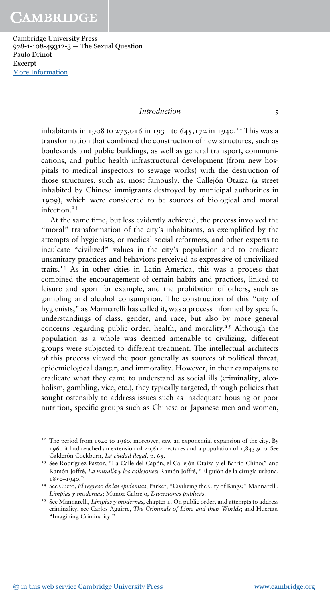#### *Introduction* 5

inhabitants in 1908 to 273,016 in 1931 to  $645,172$  in 1940.  $^{12}$  This was a transformation that combined the construction of new structures, such as boulevards and public buildings, as well as general transport, communications, and public health infrastructural development (from new hospitals to medical inspectors to sewage works) with the destruction of those structures, such as, most famously, the Callejón Otaiza (a street inhabited by Chinese immigrants destroyed by municipal authorities in 1909), which were considered to be sources of biological and moral infection. $13$ 

At the same time, but less evidently achieved, the process involved the "moral" transformation of the city's inhabitants, as exemplified by the attempts of hygienists, or medical social reformers, and other experts to inculcate "civilized" values in the city's population and to eradicate unsanitary practices and behaviors perceived as expressive of uncivilized traits.<sup>14</sup> As in other cities in Latin America, this was a process that combined the encouragement of certain habits and practices, linked to leisure and sport for example, and the prohibition of others, such as gambling and alcohol consumption. The construction of this "city of hygienists," as Mannarelli has called it, was a process informed by specific understandings of class, gender, and race, but also by more general concerns regarding public order, health, and morality.<sup>15</sup> Although the population as a whole was deemed amenable to civilizing, different groups were subjected to different treatment. The intellectual architects of this process viewed the poor generally as sources of political threat, epidemiological danger, and immorality. However, in their campaigns to eradicate what they came to understand as social ills (criminality, alcoholism, gambling, vice, etc.), they typically targeted, through policies that sought ostensibly to address issues such as inadequate housing or poor nutrition, specific groups such as Chinese or Japanese men and women,

<sup>&</sup>lt;sup>12</sup> The period from 1940 to 1960, moreover, saw an exponential expansion of the city. By 1960 it had reached an extension of 20,612 hectares and a population of 1,845,910. See Calderón Cockburn, *La ciudad ilegal*, p. 65.

<sup>&</sup>lt;sup>13</sup> See Rodríguez Pastor, "La Calle del Capón, el Callejón Otaiza y el Barrio Chino;" and Ramón Joffré, *La muralla y los callejones*; Ramón Joffré, "El guión de la cirugía urbana, 1850–1940."

<sup>14</sup> See Cueto, *El regreso de las epidemias*; Parker, "Civilizing the City of Kings;" Mannarelli, *Limpias y modernas*; Muñoz Cabrejo, *Diversiones públicas*.

<sup>15</sup> See Mannarelli, *Limpias y modernas*, chapter 1. On public order, and attempts to address criminality, see Carlos Aguirre, *The Criminals of Lima and their Worlds*; and Huertas, "Imagining Criminality."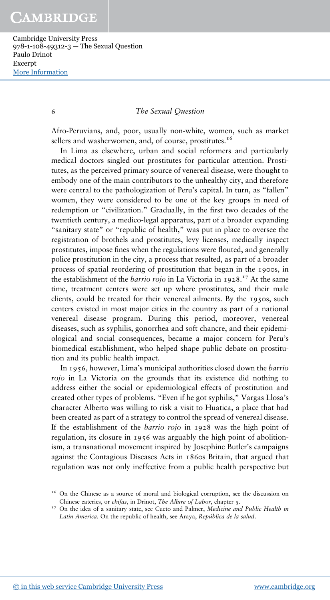#### 6 *The Sexual Question*

Afro-Peruvians, and, poor, usually non-white, women, such as market sellers and washerwomen, and, of course, prostitutes.<sup>16</sup>

In Lima as elsewhere, urban and social reformers and particularly medical doctors singled out prostitutes for particular attention. Prostitutes, as the perceived primary source of venereal disease, were thought to embody one of the main contributors to the unhealthy city, and therefore were central to the pathologization of Peru's capital. In turn, as "fallen" women, they were considered to be one of the key groups in need of redemption or "civilization." Gradually, in the first two decades of the twentieth century, a medico-legal apparatus, part of a broader expanding "sanitary state" or "republic of health," was put in place to oversee the registration of brothels and prostitutes, levy licenses, medically inspect prostitutes, impose fines when the regulations were flouted, and generally police prostitution in the city, a process that resulted, as part of a broader process of spatial reordering of prostitution that began in the 1900s, in the establishment of the *barrio rojo* in La Victoria in 1928. <sup>17</sup> At the same time, treatment centers were set up where prostitutes, and their male clients, could be treated for their venereal ailments. By the 1950s, such centers existed in most major cities in the country as part of a national venereal disease program. During this period, moreover, venereal diseases, such as syphilis, gonorrhea and soft chancre, and their epidemiological and social consequences, became a major concern for Peru's biomedical establishment, who helped shape public debate on prostitution and its public health impact.

In 1956, however, Lima's municipal authorities closed down the *barrio rojo* in La Victoria on the grounds that its existence did nothing to address either the social or epidemiological effects of prostitution and created other types of problems. "Even if he got syphilis," Vargas Llosa's character Alberto was willing to risk a visit to Huatica, a place that had been created as part of a strategy to control the spread of venereal disease. If the establishment of the *barrio rojo* in 1928 was the high point of regulation, its closure in 1956 was arguably the high point of abolitionism, a transnational movement inspired by Josephine Butler's campaigns against the Contagious Diseases Acts in 1860s Britain, that argued that regulation was not only ineffective from a public health perspective but

<sup>&</sup>lt;sup>16</sup> On the Chinese as a source of moral and biological corruption, see the discussion on Chinese eateries, or *chifas*, in Drinot, *The Allure of Labor*, chapter 5.

<sup>17</sup> On the idea of a sanitary state, see Cueto and Palmer, *Medicine and Public Health in Latin America*. On the republic of health, see Araya, *República de la salud*.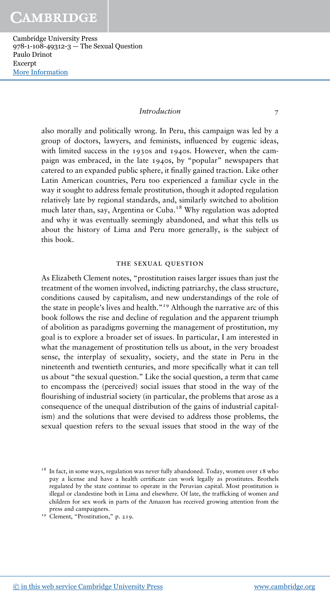### *Introduction* 7

also morally and politically wrong. In Peru, this campaign was led by a group of doctors, lawyers, and feminists, influenced by eugenic ideas, with limited success in the 1930s and 1940s. However, when the campaign was embraced, in the late 1940s, by "popular" newspapers that catered to an expanded public sphere, it finally gained traction. Like other Latin American countries, Peru too experienced a familiar cycle in the way it sought to address female prostitution, though it adopted regulation relatively late by regional standards, and, similarly switched to abolition much later than, say, Argentina or Cuba.<sup>18</sup> Why regulation was adopted and why it was eventually seemingly abandoned, and what this tells us about the history of Lima and Peru more generally, is the subject of this book.

#### THE SEXUAL QUESTION

As Elizabeth Clement notes, "prostitution raises larger issues than just the treatment of the women involved, indicting patriarchy, the class structure, conditions caused by capitalism, and new understandings of the role of the state in people's lives and health." <sup>19</sup> Although the narrative arc of this book follows the rise and decline of regulation and the apparent triumph of abolition as paradigms governing the management of prostitution, my goal is to explore a broader set of issues. In particular, I am interested in what the management of prostitution tells us about, in the very broadest sense, the interplay of sexuality, society, and the state in Peru in the nineteenth and twentieth centuries, and more specifically what it can tell us about "the sexual question." Like the social question, a term that came to encompass the (perceived) social issues that stood in the way of the flourishing of industrial society (in particular, the problems that arose as a consequence of the unequal distribution of the gains of industrial capitalism) and the solutions that were devised to address those problems, the sexual question refers to the sexual issues that stood in the way of the

 $18$  In fact, in some ways, regulation was never fully abandoned. Today, women over 18 who pay a license and have a health certificate can work legally as prostitutes. Brothels regulated by the state continue to operate in the Peruvian capital. Most prostitution is illegal or clandestine both in Lima and elsewhere. Of late, the trafficking of women and children for sex work in parts of the Amazon has received growing attention from the press and campaigners.

<sup>&</sup>lt;sup>19</sup> Clement, "Prostitution," p. 219.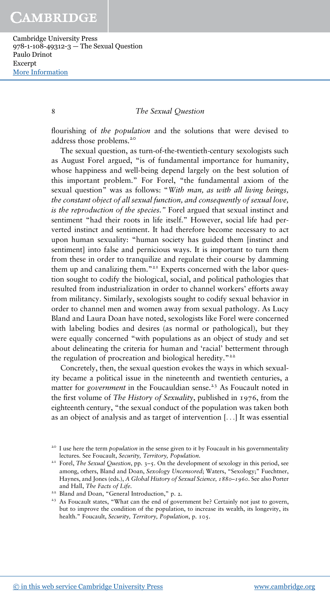8 *The Sexual Question*

flourishing of *the population* and the solutions that were devised to address those problems.<sup>20</sup>

The sexual question, as turn-of-the-twentieth-century sexologists such as August Forel argued, "is of fundamental importance for humanity, whose happiness and well-being depend largely on the best solution of this important problem." For Forel, "the fundamental axiom of the sexual question" was as follows: "*With man, as with all living beings,* the constant object of all sexual function, and consequently of sexual love, *is the reproduction of the species."* Forel argued that sexual instinct and sentiment "had their roots in life itself." However, social life had perverted instinct and sentiment. It had therefore become necessary to act upon human sexuality: "human society has guided them [instinct and sentiment] into false and pernicious ways. It is important to turn them from these in order to tranquilize and regulate their course by damming them up and canalizing them."<sup>21</sup> Experts concerned with the labor question sought to codify the biological, social, and political pathologies that resulted from industrialization in order to channel workers' efforts away from militancy. Similarly, sexologists sought to codify sexual behavior in order to channel men and women away from sexual pathology. As Lucy Bland and Laura Doan have noted, sexologists like Forel were concerned with labeling bodies and desires (as normal or pathological), but they were equally concerned "with populations as an object of study and set about delineating the criteria for human and 'racial' betterment through the regulation of procreation and biological heredity."<sup>22</sup>

Concretely, then, the sexual question evokes the ways in which sexuality became a political issue in the nineteenth and twentieth centuries, a matter for *government* in the Foucauldian sense.<sup>23</sup> As Foucault noted in the first volume of *The History of Sexuality*, published in 1976, from the eighteenth century, "the sexual conduct of the population was taken both as an object of analysis and as target of intervention [...] It was essential

<sup>&</sup>lt;sup>20</sup> I use here the term *population* in the sense given to it by Foucault in his governmentality lectures. See Foucault, *Security, Territory, Population*.

<sup>&</sup>lt;sup>21</sup> Forel, *The Sexual Question*, pp. 3-5. On the development of sexology in this period, see among, others, Bland and Doan, *Sexology Uncensored*; Waters, "Sexology;" Fuechtner, Haynes, and Jones (eds.), *A Global History of Sexual Science, 1880*–*1960*. See also Porter and Hall, *The Facts of Life*.

<sup>&</sup>lt;sup>22</sup> Bland and Doan, "General Introduction," p. 2.

<sup>&</sup>lt;sup>23</sup> As Foucault states, "What can the end of government be? Certainly not just to govern, but to improve the condition of the population, to increase its wealth, its longevity, its health." Foucault, *Security, Territory, Population*, p. 105.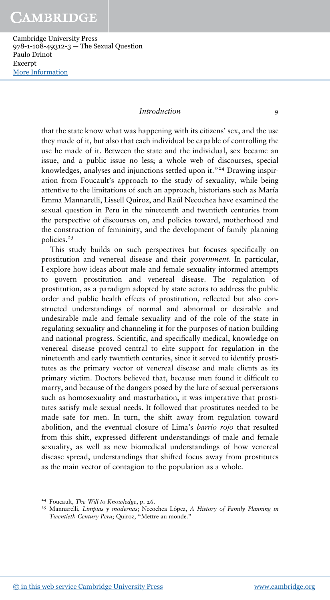### *Introduction* 9

that the state know what was happening with its citizens' sex, and the use they made of it, but also that each individual be capable of controlling the use he made of it. Between the state and the individual, sex became an issue, and a public issue no less; a whole web of discourses, special knowledges, analyses and injunctions settled upon it." <sup>24</sup> Drawing inspiration from Foucault's approach to the study of sexuality, while being attentive to the limitations of such an approach, historians such as María Emma Mannarelli, Lissell Quiroz, and Raúl Necochea have examined the sexual question in Peru in the nineteenth and twentieth centuries from the perspective of discourses on, and policies toward, motherhood and the construction of femininity, and the development of family planning policies.<sup>25</sup>

This study builds on such perspectives but focuses specifically on prostitution and venereal disease and their *government*. In particular, I explore how ideas about male and female sexuality informed attempts to govern prostitution and venereal disease. The regulation of prostitution, as a paradigm adopted by state actors to address the public order and public health effects of prostitution, reflected but also constructed understandings of normal and abnormal or desirable and undesirable male and female sexuality and of the role of the state in regulating sexuality and channeling it for the purposes of nation building and national progress. Scientific, and specifically medical, knowledge on venereal disease proved central to elite support for regulation in the nineteenth and early twentieth centuries, since it served to identify prostitutes as the primary vector of venereal disease and male clients as its primary victim. Doctors believed that, because men found it difficult to marry, and because of the dangers posed by the lure of sexual perversions such as homosexuality and masturbation, it was imperative that prostitutes satisfy male sexual needs. It followed that prostitutes needed to be made safe for men. In turn, the shift away from regulation toward abolition, and the eventual closure of Lima's *barrio rojo* that resulted from this shift, expressed different understandings of male and female sexuality, as well as new biomedical understandings of how venereal disease spread, understandings that shifted focus away from prostitutes as the main vector of contagion to the population as a whole.

<sup>24</sup> Foucault, *The Will to Knowledge*, p. 26.

<sup>25</sup> Mannarelli, *Limpias y modernas*; Necochea López, *A History of Family Planning in Twentieth-Century Peru*; Quiroz, "Mettre au monde."